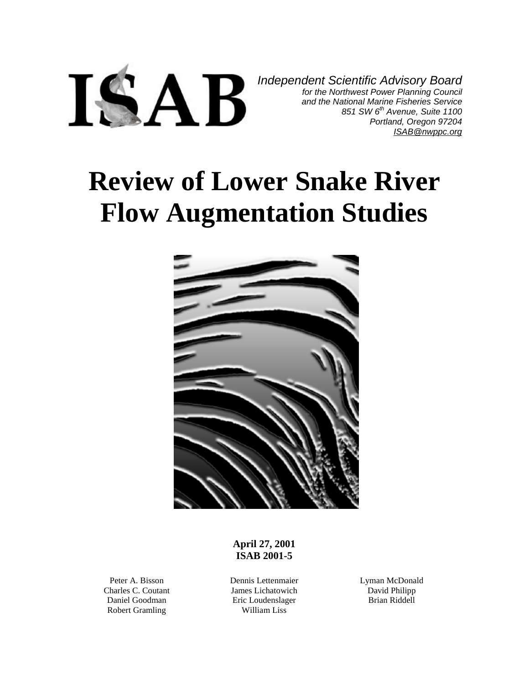

*Independent Scientific Advisory Board for the Northwest Power Planning Council and the National Marine Fisheries Service 851 SW 6th Avenue, Suite 1100 Portland, Oregon 97204 [ISAB@nwppc.org](mailto:ISAB@nwppc.org)*

# **Review of Lower Snake River Flow Augmentation Studies**



**April 27, 2001 ISAB 2001-5**

Peter A. Bisson Charles C. Coutant Daniel Goodman Robert Gramling

Dennis Lettenmaier James Lichatowich Eric Loudenslager William Liss

Lyman McDonald David Philipp Brian Riddell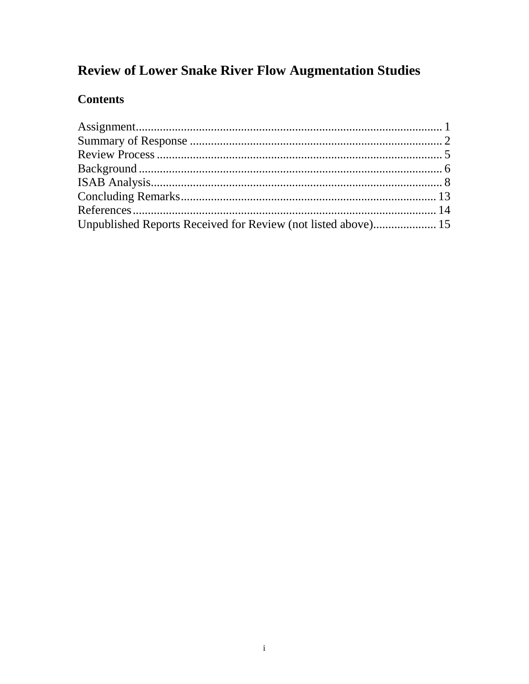## **Review of Lower Snake River Flow Augmentation Studies**

## **Contents**

| Unpublished Reports Received for Review (not listed above) 15 |  |
|---------------------------------------------------------------|--|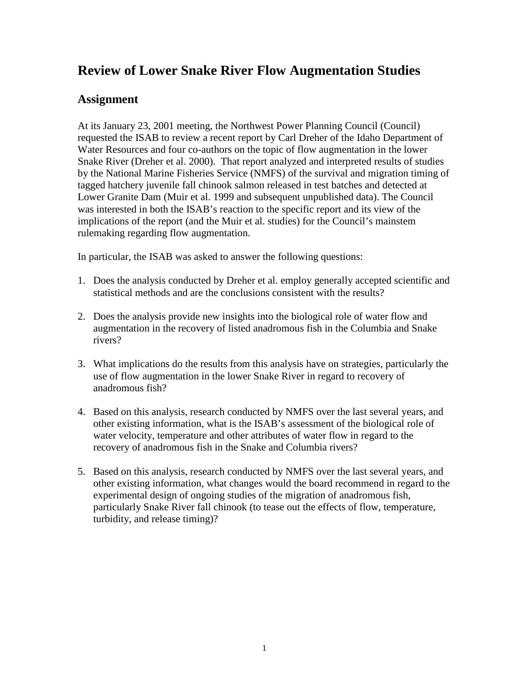## **Review of Lower Snake River Flow Augmentation Studies**

#### **Assignment**

At its January 23, 2001 meeting, the Northwest Power Planning Council (Council) requested the ISAB to review a recent report by Carl Dreher of the Idaho Department of Water Resources and four co-authors on the topic of flow augmentation in the lower Snake River (Dreher et al. 2000). That report analyzed and interpreted results of studies by the National Marine Fisheries Service (NMFS) of the survival and migration timing of tagged hatchery juvenile fall chinook salmon released in test batches and detected at Lower Granite Dam (Muir et al. 1999 and subsequent unpublished data). The Council was interested in both the ISAB's reaction to the specific report and its view of the implications of the report (and the Muir et al. studies) for the Council's mainstem rulemaking regarding flow augmentation.

In particular, the ISAB was asked to answer the following questions:

- 1. Does the analysis conducted by Dreher et al. employ generally accepted scientific and statistical methods and are the conclusions consistent with the results?
- 2. Does the analysis provide new insights into the biological role of water flow and augmentation in the recovery of listed anadromous fish in the Columbia and Snake rivers?
- 3. What implications do the results from this analysis have on strategies, particularly the use of flow augmentation in the lower Snake River in regard to recovery of anadromous fish?
- 4. Based on this analysis, research conducted by NMFS over the last several years, and other existing information, what is the ISAB's assessment of the biological role of water velocity, temperature and other attributes of water flow in regard to the recovery of anadromous fish in the Snake and Columbia rivers?
- 5. Based on this analysis, research conducted by NMFS over the last several years, and other existing information, what changes would the board recommend in regard to the experimental design of ongoing studies of the migration of anadromous fish, particularly Snake River fall chinook (to tease out the effects of flow, temperature, turbidity, and release timing)?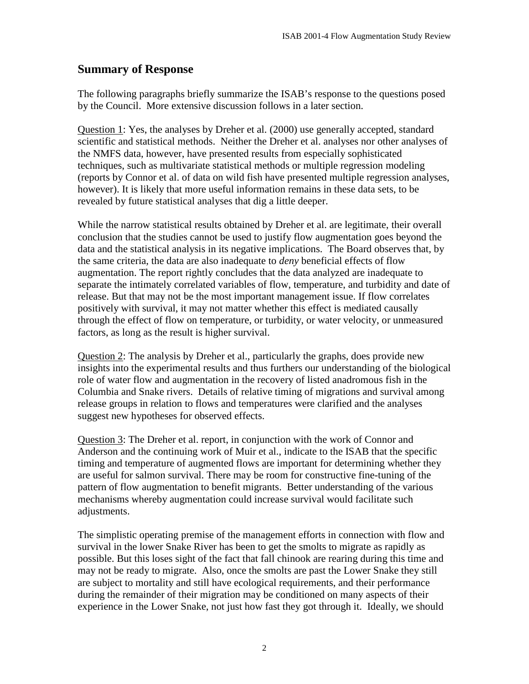#### **Summary of Response**

The following paragraphs briefly summarize the ISAB's response to the questions posed by the Council. More extensive discussion follows in a later section.

Question 1: Yes, the analyses by Dreher et al. (2000) use generally accepted, standard scientific and statistical methods. Neither the Dreher et al. analyses nor other analyses of the NMFS data, however, have presented results from especially sophisticated techniques, such as multivariate statistical methods or multiple regression modeling (reports by Connor et al. of data on wild fish have presented multiple regression analyses, however). It is likely that more useful information remains in these data sets, to be revealed by future statistical analyses that dig a little deeper.

While the narrow statistical results obtained by Dreher et al. are legitimate, their overall conclusion that the studies cannot be used to justify flow augmentation goes beyond the data and the statistical analysis in its negative implications. The Board observes that, by the same criteria, the data are also inadequate to *deny* beneficial effects of flow augmentation. The report rightly concludes that the data analyzed are inadequate to separate the intimately correlated variables of flow, temperature, and turbidity and date of release. But that may not be the most important management issue. If flow correlates positively with survival, it may not matter whether this effect is mediated causally through the effect of flow on temperature, or turbidity, or water velocity, or unmeasured factors, as long as the result is higher survival.

Question 2: The analysis by Dreher et al., particularly the graphs, does provide new insights into the experimental results and thus furthers our understanding of the biological role of water flow and augmentation in the recovery of listed anadromous fish in the Columbia and Snake rivers. Details of relative timing of migrations and survival among release groups in relation to flows and temperatures were clarified and the analyses suggest new hypotheses for observed effects.

Question 3: The Dreher et al. report, in conjunction with the work of Connor and Anderson and the continuing work of Muir et al., indicate to the ISAB that the specific timing and temperature of augmented flows are important for determining whether they are useful for salmon survival. There may be room for constructive fine-tuning of the pattern of flow augmentation to benefit migrants. Better understanding of the various mechanisms whereby augmentation could increase survival would facilitate such adjustments.

The simplistic operating premise of the management efforts in connection with flow and survival in the lower Snake River has been to get the smolts to migrate as rapidly as possible. But this loses sight of the fact that fall chinook are rearing during this time and may not be ready to migrate. Also, once the smolts are past the Lower Snake they still are subject to mortality and still have ecological requirements, and their performance during the remainder of their migration may be conditioned on many aspects of their experience in the Lower Snake, not just how fast they got through it. Ideally, we should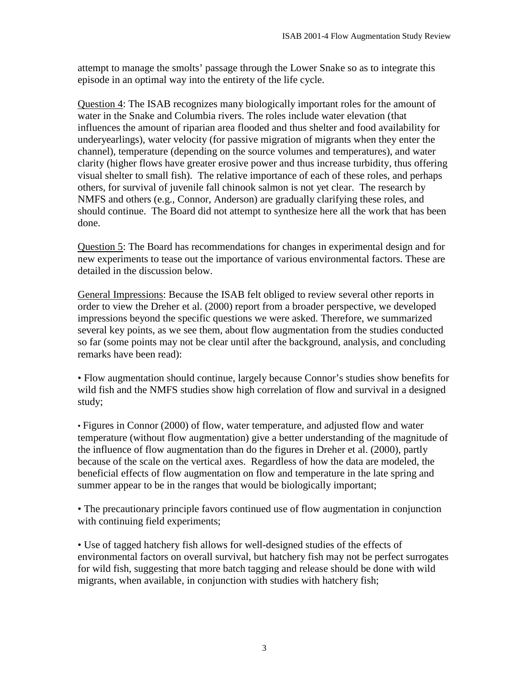attempt to manage the smolts' passage through the Lower Snake so as to integrate this episode in an optimal way into the entirety of the life cycle.

Question 4: The ISAB recognizes many biologically important roles for the amount of water in the Snake and Columbia rivers. The roles include water elevation (that influences the amount of riparian area flooded and thus shelter and food availability for underyearlings), water velocity (for passive migration of migrants when they enter the channel), temperature (depending on the source volumes and temperatures), and water clarity (higher flows have greater erosive power and thus increase turbidity, thus offering visual shelter to small fish). The relative importance of each of these roles, and perhaps others, for survival of juvenile fall chinook salmon is not yet clear. The research by NMFS and others (e.g., Connor, Anderson) are gradually clarifying these roles, and should continue. The Board did not attempt to synthesize here all the work that has been done.

Question 5: The Board has recommendations for changes in experimental design and for new experiments to tease out the importance of various environmental factors. These are detailed in the discussion below.

General Impressions: Because the ISAB felt obliged to review several other reports in order to view the Dreher et al. (2000) report from a broader perspective, we developed impressions beyond the specific questions we were asked. Therefore, we summarized several key points, as we see them, about flow augmentation from the studies conducted so far (some points may not be clear until after the background, analysis, and concluding remarks have been read):

• Flow augmentation should continue, largely because Connor's studies show benefits for wild fish and the NMFS studies show high correlation of flow and survival in a designed study;

• Figures in Connor (2000) of flow, water temperature, and adjusted flow and water temperature (without flow augmentation) give a better understanding of the magnitude of the influence of flow augmentation than do the figures in Dreher et al. (2000), partly because of the scale on the vertical axes. Regardless of how the data are modeled, the beneficial effects of flow augmentation on flow and temperature in the late spring and summer appear to be in the ranges that would be biologically important;

• The precautionary principle favors continued use of flow augmentation in conjunction with continuing field experiments;

• Use of tagged hatchery fish allows for well-designed studies of the effects of environmental factors on overall survival, but hatchery fish may not be perfect surrogates for wild fish, suggesting that more batch tagging and release should be done with wild migrants, when available, in conjunction with studies with hatchery fish;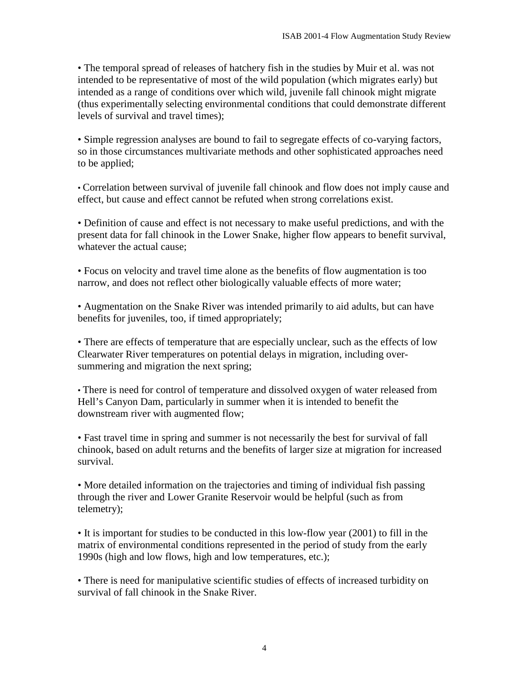• The temporal spread of releases of hatchery fish in the studies by Muir et al. was not intended to be representative of most of the wild population (which migrates early) but intended as a range of conditions over which wild, juvenile fall chinook might migrate (thus experimentally selecting environmental conditions that could demonstrate different levels of survival and travel times);

• Simple regression analyses are bound to fail to segregate effects of co-varying factors, so in those circumstances multivariate methods and other sophisticated approaches need to be applied;

• Correlation between survival of juvenile fall chinook and flow does not imply cause and effect, but cause and effect cannot be refuted when strong correlations exist.

• Definition of cause and effect is not necessary to make useful predictions, and with the present data for fall chinook in the Lower Snake, higher flow appears to benefit survival, whatever the actual cause;

• Focus on velocity and travel time alone as the benefits of flow augmentation is too narrow, and does not reflect other biologically valuable effects of more water;

• Augmentation on the Snake River was intended primarily to aid adults, but can have benefits for juveniles, too, if timed appropriately;

• There are effects of temperature that are especially unclear, such as the effects of low Clearwater River temperatures on potential delays in migration, including oversummering and migration the next spring;

• There is need for control of temperature and dissolved oxygen of water released from Hell's Canyon Dam, particularly in summer when it is intended to benefit the downstream river with augmented flow;

• Fast travel time in spring and summer is not necessarily the best for survival of fall chinook, based on adult returns and the benefits of larger size at migration for increased survival.

• More detailed information on the trajectories and timing of individual fish passing through the river and Lower Granite Reservoir would be helpful (such as from telemetry);

• It is important for studies to be conducted in this low-flow year (2001) to fill in the matrix of environmental conditions represented in the period of study from the early 1990s (high and low flows, high and low temperatures, etc.);

• There is need for manipulative scientific studies of effects of increased turbidity on survival of fall chinook in the Snake River.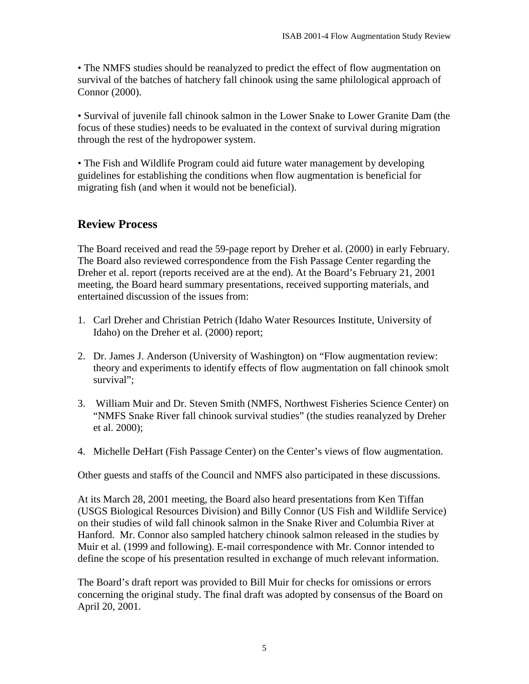• The NMFS studies should be reanalyzed to predict the effect of flow augmentation on survival of the batches of hatchery fall chinook using the same philological approach of Connor (2000).

• Survival of juvenile fall chinook salmon in the Lower Snake to Lower Granite Dam (the focus of these studies) needs to be evaluated in the context of survival during migration through the rest of the hydropower system.

• The Fish and Wildlife Program could aid future water management by developing guidelines for establishing the conditions when flow augmentation is beneficial for migrating fish (and when it would not be beneficial).

#### **Review Process**

The Board received and read the 59-page report by Dreher et al. (2000) in early February. The Board also reviewed correspondence from the Fish Passage Center regarding the Dreher et al. report (reports received are at the end). At the Board's February 21, 2001 meeting, the Board heard summary presentations, received supporting materials, and entertained discussion of the issues from:

- 1. Carl Dreher and Christian Petrich (Idaho Water Resources Institute, University of Idaho) on the Dreher et al. (2000) report;
- 2. Dr. James J. Anderson (University of Washington) on "Flow augmentation review: theory and experiments to identify effects of flow augmentation on fall chinook smolt survival";
- 3. William Muir and Dr. Steven Smith (NMFS, Northwest Fisheries Science Center) on "NMFS Snake River fall chinook survival studies" (the studies reanalyzed by Dreher et al. 2000);
- 4. Michelle DeHart (Fish Passage Center) on the Center's views of flow augmentation.

Other guests and staffs of the Council and NMFS also participated in these discussions.

At its March 28, 2001 meeting, the Board also heard presentations from Ken Tiffan (USGS Biological Resources Division) and Billy Connor (US Fish and Wildlife Service) on their studies of wild fall chinook salmon in the Snake River and Columbia River at Hanford. Mr. Connor also sampled hatchery chinook salmon released in the studies by Muir et al. (1999 and following). E-mail correspondence with Mr. Connor intended to define the scope of his presentation resulted in exchange of much relevant information.

The Board's draft report was provided to Bill Muir for checks for omissions or errors concerning the original study. The final draft was adopted by consensus of the Board on April 20, 2001.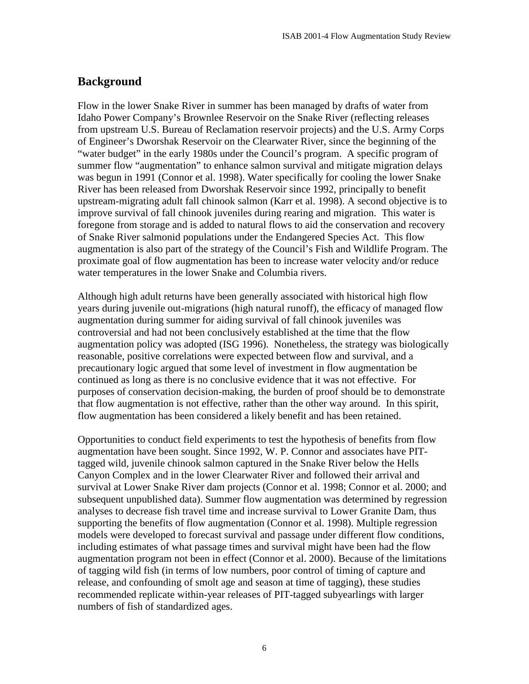### **Background**

Flow in the lower Snake River in summer has been managed by drafts of water from Idaho Power Company's Brownlee Reservoir on the Snake River (reflecting releases from upstream U.S. Bureau of Reclamation reservoir projects) and the U.S. Army Corps of Engineer's Dworshak Reservoir on the Clearwater River, since the beginning of the "water budget" in the early 1980s under the Council's program. A specific program of summer flow "augmentation" to enhance salmon survival and mitigate migration delays was begun in 1991 (Connor et al. 1998). Water specifically for cooling the lower Snake River has been released from Dworshak Reservoir since 1992, principally to benefit upstream-migrating adult fall chinook salmon (Karr et al. 1998). A second objective is to improve survival of fall chinook juveniles during rearing and migration. This water is foregone from storage and is added to natural flows to aid the conservation and recovery of Snake River salmonid populations under the Endangered Species Act. This flow augmentation is also part of the strategy of the Council's Fish and Wildlife Program. The proximate goal of flow augmentation has been to increase water velocity and/or reduce water temperatures in the lower Snake and Columbia rivers.

Although high adult returns have been generally associated with historical high flow years during juvenile out-migrations (high natural runoff), the efficacy of managed flow augmentation during summer for aiding survival of fall chinook juveniles was controversial and had not been conclusively established at the time that the flow augmentation policy was adopted (ISG 1996). Nonetheless, the strategy was biologically reasonable, positive correlations were expected between flow and survival, and a precautionary logic argued that some level of investment in flow augmentation be continued as long as there is no conclusive evidence that it was not effective. For purposes of conservation decision-making, the burden of proof should be to demonstrate that flow augmentation is not effective, rather than the other way around. In this spirit, flow augmentation has been considered a likely benefit and has been retained.

Opportunities to conduct field experiments to test the hypothesis of benefits from flow augmentation have been sought. Since 1992, W. P. Connor and associates have PITtagged wild, juvenile chinook salmon captured in the Snake River below the Hells Canyon Complex and in the lower Clearwater River and followed their arrival and survival at Lower Snake River dam projects (Connor et al. 1998; Connor et al. 2000; and subsequent unpublished data). Summer flow augmentation was determined by regression analyses to decrease fish travel time and increase survival to Lower Granite Dam, thus supporting the benefits of flow augmentation (Connor et al. 1998). Multiple regression models were developed to forecast survival and passage under different flow conditions, including estimates of what passage times and survival might have been had the flow augmentation program not been in effect (Connor et al. 2000). Because of the limitations of tagging wild fish (in terms of low numbers, poor control of timing of capture and release, and confounding of smolt age and season at time of tagging), these studies recommended replicate within-year releases of PIT-tagged subyearlings with larger numbers of fish of standardized ages.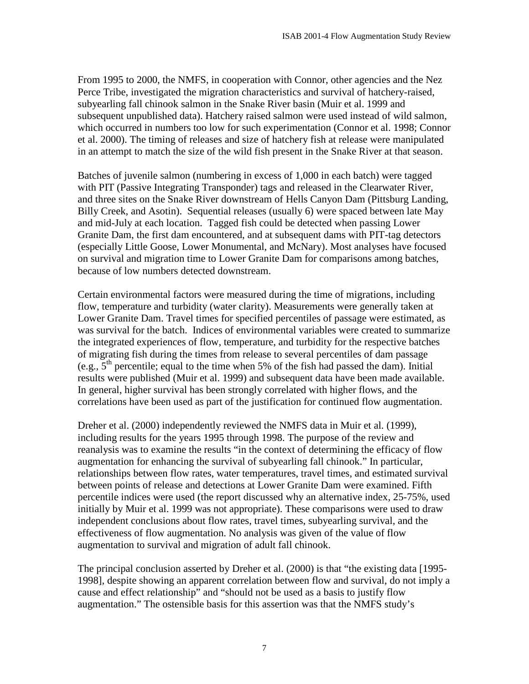From 1995 to 2000, the NMFS, in cooperation with Connor, other agencies and the Nez Perce Tribe, investigated the migration characteristics and survival of hatchery-raised, subyearling fall chinook salmon in the Snake River basin (Muir et al. 1999 and subsequent unpublished data). Hatchery raised salmon were used instead of wild salmon, which occurred in numbers too low for such experimentation (Connor et al. 1998; Connor et al. 2000). The timing of releases and size of hatchery fish at release were manipulated in an attempt to match the size of the wild fish present in the Snake River at that season.

Batches of juvenile salmon (numbering in excess of 1,000 in each batch) were tagged with PIT (Passive Integrating Transponder) tags and released in the Clearwater River, and three sites on the Snake River downstream of Hells Canyon Dam (Pittsburg Landing, Billy Creek, and Asotin). Sequential releases (usually 6) were spaced between late May and mid-July at each location. Tagged fish could be detected when passing Lower Granite Dam, the first dam encountered, and at subsequent dams with PIT-tag detectors (especially Little Goose, Lower Monumental, and McNary). Most analyses have focused on survival and migration time to Lower Granite Dam for comparisons among batches, because of low numbers detected downstream.

Certain environmental factors were measured during the time of migrations, including flow, temperature and turbidity (water clarity). Measurements were generally taken at Lower Granite Dam. Travel times for specified percentiles of passage were estimated, as was survival for the batch. Indices of environmental variables were created to summarize the integrated experiences of flow, temperature, and turbidity for the respective batches of migrating fish during the times from release to several percentiles of dam passage (e.g.,  $5<sup>th</sup>$  percentile; equal to the time when 5% of the fish had passed the dam). Initial results were published (Muir et al. 1999) and subsequent data have been made available. In general, higher survival has been strongly correlated with higher flows, and the correlations have been used as part of the justification for continued flow augmentation.

Dreher et al. (2000) independently reviewed the NMFS data in Muir et al. (1999), including results for the years 1995 through 1998. The purpose of the review and reanalysis was to examine the results "in the context of determining the efficacy of flow augmentation for enhancing the survival of subyearling fall chinook." In particular, relationships between flow rates, water temperatures, travel times, and estimated survival between points of release and detections at Lower Granite Dam were examined. Fifth percentile indices were used (the report discussed why an alternative index, 25-75%, used initially by Muir et al. 1999 was not appropriate). These comparisons were used to draw independent conclusions about flow rates, travel times, subyearling survival, and the effectiveness of flow augmentation. No analysis was given of the value of flow augmentation to survival and migration of adult fall chinook.

The principal conclusion asserted by Dreher et al. (2000) is that "the existing data [1995- 1998], despite showing an apparent correlation between flow and survival, do not imply a cause and effect relationship" and "should not be used as a basis to justify flow augmentation." The ostensible basis for this assertion was that the NMFS study's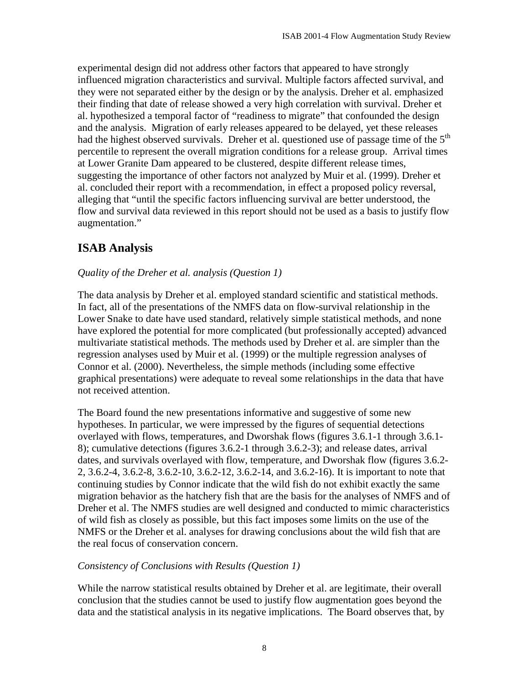experimental design did not address other factors that appeared to have strongly influenced migration characteristics and survival. Multiple factors affected survival, and they were not separated either by the design or by the analysis. Dreher et al. emphasized their finding that date of release showed a very high correlation with survival. Dreher et al. hypothesized a temporal factor of "readiness to migrate" that confounded the design and the analysis. Migration of early releases appeared to be delayed, yet these releases had the highest observed survivals. Dreher et al. questioned use of passage time of the  $5<sup>th</sup>$ percentile to represent the overall migration conditions for a release group. Arrival times at Lower Granite Dam appeared to be clustered, despite different release times, suggesting the importance of other factors not analyzed by Muir et al. (1999). Dreher et al. concluded their report with a recommendation, in effect a proposed policy reversal, alleging that "until the specific factors influencing survival are better understood, the flow and survival data reviewed in this report should not be used as a basis to justify flow augmentation."

#### **ISAB Analysis**

#### *Quality of the Dreher et al. analysis (Question 1)*

The data analysis by Dreher et al. employed standard scientific and statistical methods. In fact, all of the presentations of the NMFS data on flow-survival relationship in the Lower Snake to date have used standard, relatively simple statistical methods, and none have explored the potential for more complicated (but professionally accepted) advanced multivariate statistical methods. The methods used by Dreher et al. are simpler than the regression analyses used by Muir et al. (1999) or the multiple regression analyses of Connor et al. (2000). Nevertheless, the simple methods (including some effective graphical presentations) were adequate to reveal some relationships in the data that have not received attention.

The Board found the new presentations informative and suggestive of some new hypotheses. In particular, we were impressed by the figures of sequential detections overlayed with flows, temperatures, and Dworshak flows (figures 3.6.1-1 through 3.6.1- 8); cumulative detections (figures 3.6.2-1 through 3.6.2-3); and release dates, arrival dates, and survivals overlayed with flow, temperature, and Dworshak flow (figures 3.6.2- 2, 3.6.2-4, 3.6.2-8, 3.6.2-10, 3.6.2-12, 3.6.2-14, and 3.6.2-16). It is important to note that continuing studies by Connor indicate that the wild fish do not exhibit exactly the same migration behavior as the hatchery fish that are the basis for the analyses of NMFS and of Dreher et al. The NMFS studies are well designed and conducted to mimic characteristics of wild fish as closely as possible, but this fact imposes some limits on the use of the NMFS or the Dreher et al. analyses for drawing conclusions about the wild fish that are the real focus of conservation concern.

#### *Consistency of Conclusions with Results (Question 1)*

While the narrow statistical results obtained by Dreher et al. are legitimate, their overall conclusion that the studies cannot be used to justify flow augmentation goes beyond the data and the statistical analysis in its negative implications. The Board observes that, by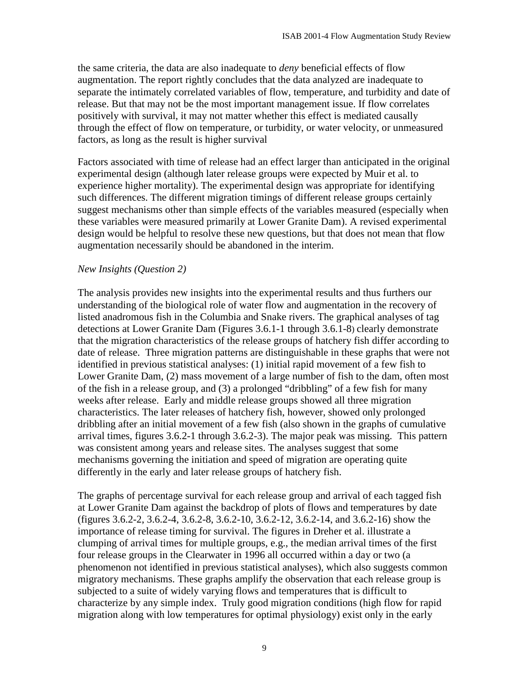the same criteria, the data are also inadequate to *deny* beneficial effects of flow augmentation. The report rightly concludes that the data analyzed are inadequate to separate the intimately correlated variables of flow, temperature, and turbidity and date of release. But that may not be the most important management issue. If flow correlates positively with survival, it may not matter whether this effect is mediated causally through the effect of flow on temperature, or turbidity, or water velocity, or unmeasured factors, as long as the result is higher survival

Factors associated with time of release had an effect larger than anticipated in the original experimental design (although later release groups were expected by Muir et al. to experience higher mortality). The experimental design was appropriate for identifying such differences. The different migration timings of different release groups certainly suggest mechanisms other than simple effects of the variables measured (especially when these variables were measured primarily at Lower Granite Dam). A revised experimental design would be helpful to resolve these new questions, but that does not mean that flow augmentation necessarily should be abandoned in the interim.

#### *New Insights (Question 2)*

The analysis provides new insights into the experimental results and thus furthers our understanding of the biological role of water flow and augmentation in the recovery of listed anadromous fish in the Columbia and Snake rivers. The graphical analyses of tag detections at Lower Granite Dam (Figures 3.6.1-1 through 3.6.1-8) clearly demonstrate that the migration characteristics of the release groups of hatchery fish differ according to date of release. Three migration patterns are distinguishable in these graphs that were not identified in previous statistical analyses: (1) initial rapid movement of a few fish to Lower Granite Dam, (2) mass movement of a large number of fish to the dam, often most of the fish in a release group, and (3) a prolonged "dribbling" of a few fish for many weeks after release. Early and middle release groups showed all three migration characteristics. The later releases of hatchery fish, however, showed only prolonged dribbling after an initial movement of a few fish (also shown in the graphs of cumulative arrival times, figures 3.6.2-1 through 3.6.2-3). The major peak was missing. This pattern was consistent among years and release sites. The analyses suggest that some mechanisms governing the initiation and speed of migration are operating quite differently in the early and later release groups of hatchery fish.

The graphs of percentage survival for each release group and arrival of each tagged fish at Lower Granite Dam against the backdrop of plots of flows and temperatures by date (figures 3.6.2-2, 3.6.2-4, 3.6.2-8, 3.6.2-10, 3.6.2-12, 3.6.2-14, and 3.6.2-16) show the importance of release timing for survival. The figures in Dreher et al. illustrate a clumping of arrival times for multiple groups, e.g., the median arrival times of the first four release groups in the Clearwater in 1996 all occurred within a day or two (a phenomenon not identified in previous statistical analyses), which also suggests common migratory mechanisms. These graphs amplify the observation that each release group is subjected to a suite of widely varying flows and temperatures that is difficult to characterize by any simple index. Truly good migration conditions (high flow for rapid migration along with low temperatures for optimal physiology) exist only in the early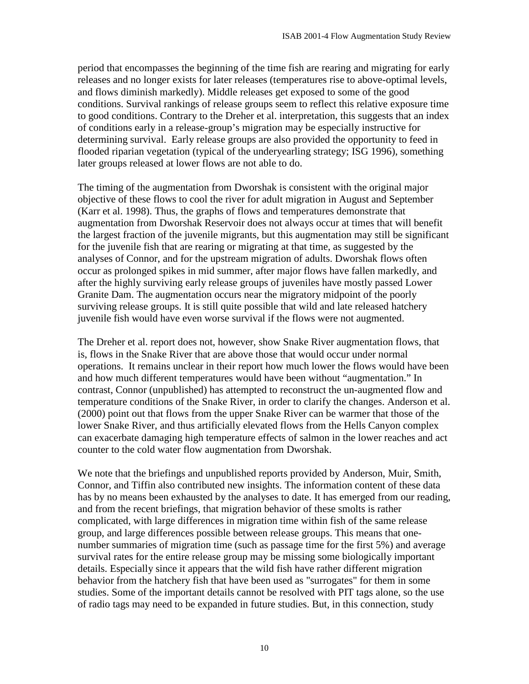period that encompasses the beginning of the time fish are rearing and migrating for early releases and no longer exists for later releases (temperatures rise to above-optimal levels, and flows diminish markedly). Middle releases get exposed to some of the good conditions. Survival rankings of release groups seem to reflect this relative exposure time to good conditions. Contrary to the Dreher et al. interpretation, this suggests that an index of conditions early in a release-group's migration may be especially instructive for determining survival. Early release groups are also provided the opportunity to feed in flooded riparian vegetation (typical of the underyearling strategy; ISG 1996), something later groups released at lower flows are not able to do.

The timing of the augmentation from Dworshak is consistent with the original major objective of these flows to cool the river for adult migration in August and September (Karr et al. 1998). Thus, the graphs of flows and temperatures demonstrate that augmentation from Dworshak Reservoir does not always occur at times that will benefit the largest fraction of the juvenile migrants, but this augmentation may still be significant for the juvenile fish that are rearing or migrating at that time, as suggested by the analyses of Connor, and for the upstream migration of adults. Dworshak flows often occur as prolonged spikes in mid summer, after major flows have fallen markedly, and after the highly surviving early release groups of juveniles have mostly passed Lower Granite Dam. The augmentation occurs near the migratory midpoint of the poorly surviving release groups. It is still quite possible that wild and late released hatchery juvenile fish would have even worse survival if the flows were not augmented.

The Dreher et al. report does not, however, show Snake River augmentation flows, that is, flows in the Snake River that are above those that would occur under normal operations. It remains unclear in their report how much lower the flows would have been and how much different temperatures would have been without "augmentation." In contrast, Connor (unpublished) has attempted to reconstruct the un-augmented flow and temperature conditions of the Snake River, in order to clarify the changes. Anderson et al. (2000) point out that flows from the upper Snake River can be warmer that those of the lower Snake River, and thus artificially elevated flows from the Hells Canyon complex can exacerbate damaging high temperature effects of salmon in the lower reaches and act counter to the cold water flow augmentation from Dworshak.

We note that the briefings and unpublished reports provided by Anderson, Muir, Smith, Connor, and Tiffin also contributed new insights. The information content of these data has by no means been exhausted by the analyses to date. It has emerged from our reading, and from the recent briefings, that migration behavior of these smolts is rather complicated, with large differences in migration time within fish of the same release group, and large differences possible between release groups. This means that onenumber summaries of migration time (such as passage time for the first 5%) and average survival rates for the entire release group may be missing some biologically important details. Especially since it appears that the wild fish have rather different migration behavior from the hatchery fish that have been used as "surrogates" for them in some studies. Some of the important details cannot be resolved with PIT tags alone, so the use of radio tags may need to be expanded in future studies. But, in this connection, study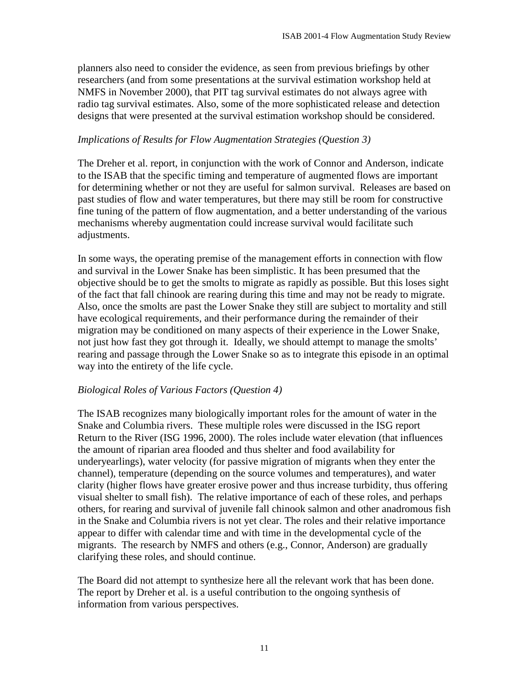planners also need to consider the evidence, as seen from previous briefings by other researchers (and from some presentations at the survival estimation workshop held at NMFS in November 2000), that PIT tag survival estimates do not always agree with radio tag survival estimates. Also, some of the more sophisticated release and detection designs that were presented at the survival estimation workshop should be considered.

#### *Implications of Results for Flow Augmentation Strategies (Question 3)*

The Dreher et al. report, in conjunction with the work of Connor and Anderson, indicate to the ISAB that the specific timing and temperature of augmented flows are important for determining whether or not they are useful for salmon survival. Releases are based on past studies of flow and water temperatures, but there may still be room for constructive fine tuning of the pattern of flow augmentation, and a better understanding of the various mechanisms whereby augmentation could increase survival would facilitate such adjustments.

In some ways, the operating premise of the management efforts in connection with flow and survival in the Lower Snake has been simplistic. It has been presumed that the objective should be to get the smolts to migrate as rapidly as possible. But this loses sight of the fact that fall chinook are rearing during this time and may not be ready to migrate. Also, once the smolts are past the Lower Snake they still are subject to mortality and still have ecological requirements, and their performance during the remainder of their migration may be conditioned on many aspects of their experience in the Lower Snake, not just how fast they got through it. Ideally, we should attempt to manage the smolts' rearing and passage through the Lower Snake so as to integrate this episode in an optimal way into the entirety of the life cycle.

#### *Biological Roles of Various Factors (Question 4)*

The ISAB recognizes many biologically important roles for the amount of water in the Snake and Columbia rivers. These multiple roles were discussed in the ISG report Return to the River (ISG 1996, 2000). The roles include water elevation (that influences the amount of riparian area flooded and thus shelter and food availability for underyearlings), water velocity (for passive migration of migrants when they enter the channel), temperature (depending on the source volumes and temperatures), and water clarity (higher flows have greater erosive power and thus increase turbidity, thus offering visual shelter to small fish). The relative importance of each of these roles, and perhaps others, for rearing and survival of juvenile fall chinook salmon and other anadromous fish in the Snake and Columbia rivers is not yet clear. The roles and their relative importance appear to differ with calendar time and with time in the developmental cycle of the migrants. The research by NMFS and others (e.g., Connor, Anderson) are gradually clarifying these roles, and should continue.

The Board did not attempt to synthesize here all the relevant work that has been done. The report by Dreher et al. is a useful contribution to the ongoing synthesis of information from various perspectives.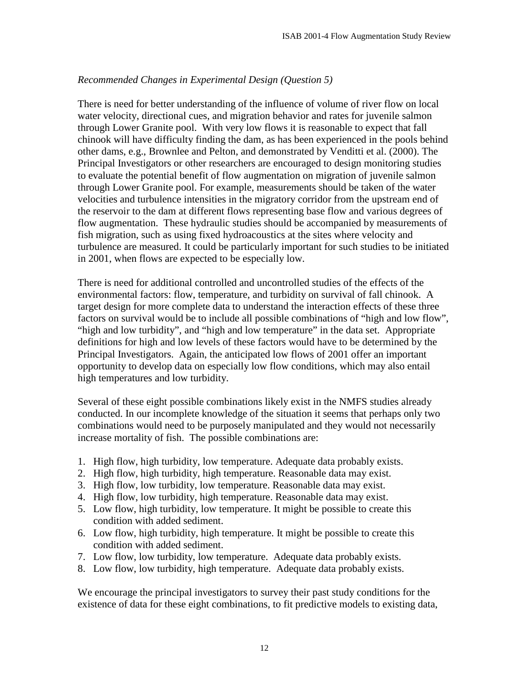#### *Recommended Changes in Experimental Design (Question 5)*

There is need for better understanding of the influence of volume of river flow on local water velocity, directional cues, and migration behavior and rates for juvenile salmon through Lower Granite pool. With very low flows it is reasonable to expect that fall chinook will have difficulty finding the dam, as has been experienced in the pools behind other dams, e.g., Brownlee and Pelton, and demonstrated by Venditti et al. (2000). The Principal Investigators or other researchers are encouraged to design monitoring studies to evaluate the potential benefit of flow augmentation on migration of juvenile salmon through Lower Granite pool. For example, measurements should be taken of the water velocities and turbulence intensities in the migratory corridor from the upstream end of the reservoir to the dam at different flows representing base flow and various degrees of flow augmentation. These hydraulic studies should be accompanied by measurements of fish migration, such as using fixed hydroacoustics at the sites where velocity and turbulence are measured. It could be particularly important for such studies to be initiated in 2001, when flows are expected to be especially low.

There is need for additional controlled and uncontrolled studies of the effects of the environmental factors: flow, temperature, and turbidity on survival of fall chinook. A target design for more complete data to understand the interaction effects of these three factors on survival would be to include all possible combinations of "high and low flow", "high and low turbidity", and "high and low temperature" in the data set. Appropriate definitions for high and low levels of these factors would have to be determined by the Principal Investigators. Again, the anticipated low flows of 2001 offer an important opportunity to develop data on especially low flow conditions, which may also entail high temperatures and low turbidity.

Several of these eight possible combinations likely exist in the NMFS studies already conducted. In our incomplete knowledge of the situation it seems that perhaps only two combinations would need to be purposely manipulated and they would not necessarily increase mortality of fish. The possible combinations are:

- 1. High flow, high turbidity, low temperature. Adequate data probably exists.
- 2. High flow, high turbidity, high temperature. Reasonable data may exist.
- 3. High flow, low turbidity, low temperature. Reasonable data may exist.
- 4. High flow, low turbidity, high temperature. Reasonable data may exist.
- 5. Low flow, high turbidity, low temperature. It might be possible to create this condition with added sediment.
- 6. Low flow, high turbidity, high temperature. It might be possible to create this condition with added sediment.
- 7. Low flow, low turbidity, low temperature. Adequate data probably exists.
- 8. Low flow, low turbidity, high temperature. Adequate data probably exists.

We encourage the principal investigators to survey their past study conditions for the existence of data for these eight combinations, to fit predictive models to existing data,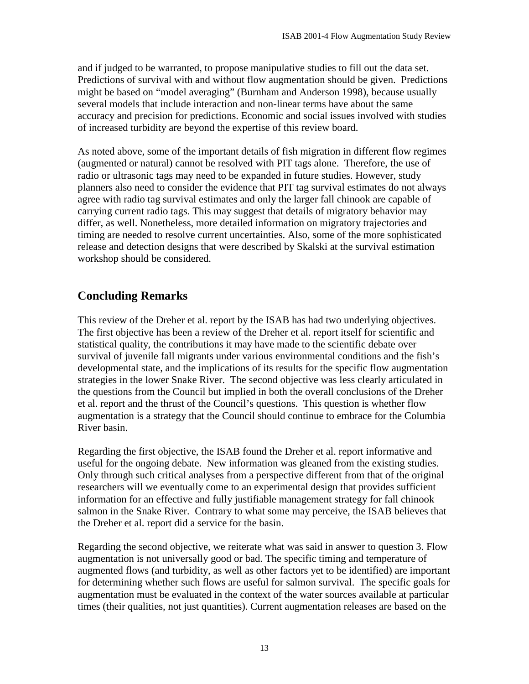and if judged to be warranted, to propose manipulative studies to fill out the data set. Predictions of survival with and without flow augmentation should be given. Predictions might be based on "model averaging" (Burnham and Anderson 1998), because usually several models that include interaction and non-linear terms have about the same accuracy and precision for predictions. Economic and social issues involved with studies of increased turbidity are beyond the expertise of this review board.

As noted above, some of the important details of fish migration in different flow regimes (augmented or natural) cannot be resolved with PIT tags alone. Therefore, the use of radio or ultrasonic tags may need to be expanded in future studies. However, study planners also need to consider the evidence that PIT tag survival estimates do not always agree with radio tag survival estimates and only the larger fall chinook are capable of carrying current radio tags. This may suggest that details of migratory behavior may differ, as well. Nonetheless, more detailed information on migratory trajectories and timing are needed to resolve current uncertainties. Also, some of the more sophisticated release and detection designs that were described by Skalski at the survival estimation workshop should be considered.

## **Concluding Remarks**

This review of the Dreher et al. report by the ISAB has had two underlying objectives. The first objective has been a review of the Dreher et al. report itself for scientific and statistical quality, the contributions it may have made to the scientific debate over survival of juvenile fall migrants under various environmental conditions and the fish's developmental state, and the implications of its results for the specific flow augmentation strategies in the lower Snake River. The second objective was less clearly articulated in the questions from the Council but implied in both the overall conclusions of the Dreher et al. report and the thrust of the Council's questions. This question is whether flow augmentation is a strategy that the Council should continue to embrace for the Columbia River basin.

Regarding the first objective, the ISAB found the Dreher et al. report informative and useful for the ongoing debate. New information was gleaned from the existing studies. Only through such critical analyses from a perspective different from that of the original researchers will we eventually come to an experimental design that provides sufficient information for an effective and fully justifiable management strategy for fall chinook salmon in the Snake River. Contrary to what some may perceive, the ISAB believes that the Dreher et al. report did a service for the basin.

Regarding the second objective, we reiterate what was said in answer to question 3. Flow augmentation is not universally good or bad. The specific timing and temperature of augmented flows (and turbidity, as well as other factors yet to be identified) are important for determining whether such flows are useful for salmon survival. The specific goals for augmentation must be evaluated in the context of the water sources available at particular times (their qualities, not just quantities). Current augmentation releases are based on the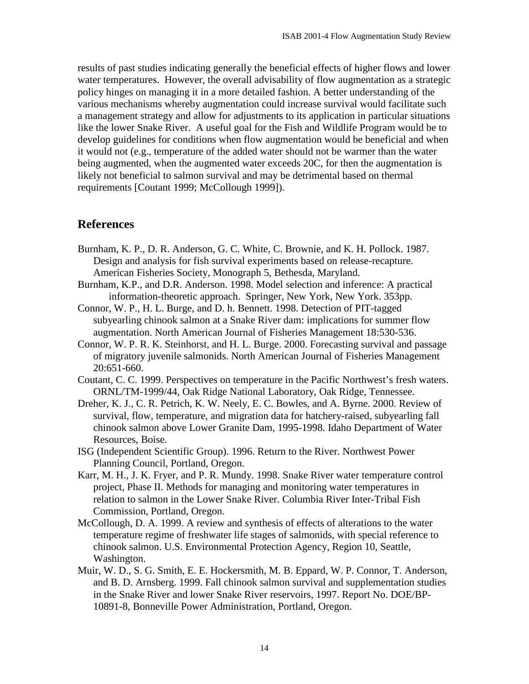results of past studies indicating generally the beneficial effects of higher flows and lower water temperatures. However, the overall advisability of flow augmentation as a strategic policy hinges on managing it in a more detailed fashion. A better understanding of the various mechanisms whereby augmentation could increase survival would facilitate such a management strategy and allow for adjustments to its application in particular situations like the lower Snake River. A useful goal for the Fish and Wildlife Program would be to develop guidelines for conditions when flow augmentation would be beneficial and when it would not (e.g., temperature of the added water should not be warmer than the water being augmented, when the augmented water exceeds 20C, for then the augmentation is likely not beneficial to salmon survival and may be detrimental based on thermal requirements [Coutant 1999; McCollough 1999]).

#### **References**

- Burnham, K. P., D. R. Anderson, G. C. White, C. Brownie, and K. H. Pollock. 1987. Design and analysis for fish survival experiments based on release-recapture. American Fisheries Society, Monograph 5, Bethesda, Maryland.
- Burnham, K.P., and D.R. Anderson. 1998. Model selection and inference: A practical information-theoretic approach. Springer, New York, New York. 353pp.
- Connor, W. P., H. L. Burge, and D. h. Bennett. 1998. Detection of PIT-tagged subyearling chinook salmon at a Snake River dam: implications for summer flow augmentation. North American Journal of Fisheries Management 18:530-536.
- Connor, W. P. R. K. Steinhorst, and H. L. Burge. 2000. Forecasting survival and passage of migratory juvenile salmonids. North American Journal of Fisheries Management 20:651-660.
- Coutant, C. C. 1999. Perspectives on temperature in the Pacific Northwest's fresh waters. ORNL/TM-1999/44, Oak Ridge National Laboratory, Oak Ridge, Tennessee.
- Dreher, K. J., C. R. Petrich, K. W. Neely, E. C. Bowles, and A. Byrne. 2000. Review of survival, flow, temperature, and migration data for hatchery-raised, subyearling fall chinook salmon above Lower Granite Dam, 1995-1998. Idaho Department of Water Resources, Boise.
- ISG (Independent Scientific Group). 1996. Return to the River. Northwest Power Planning Council, Portland, Oregon.
- Karr, M. H., J. K. Fryer, and P. R. Mundy. 1998. Snake River water temperature control project, Phase II. Methods for managing and monitoring water temperatures in relation to salmon in the Lower Snake River. Columbia River Inter-Tribal Fish Commission, Portland, Oregon.
- McCollough, D. A. 1999. A review and synthesis of effects of alterations to the water temperature regime of freshwater life stages of salmonids, with special reference to chinook salmon. U.S. Environmental Protection Agency, Region 10, Seattle, Washington.
- Muir, W. D., S. G. Smith, E. E. Hockersmith, M. B. Eppard, W. P. Connor, T. Anderson, and B. D. Arnsberg. 1999. Fall chinook salmon survival and supplementation studies in the Snake River and lower Snake River reservoirs, 1997. Report No. DOE/BP-10891-8, Bonneville Power Administration, Portland, Oregon.